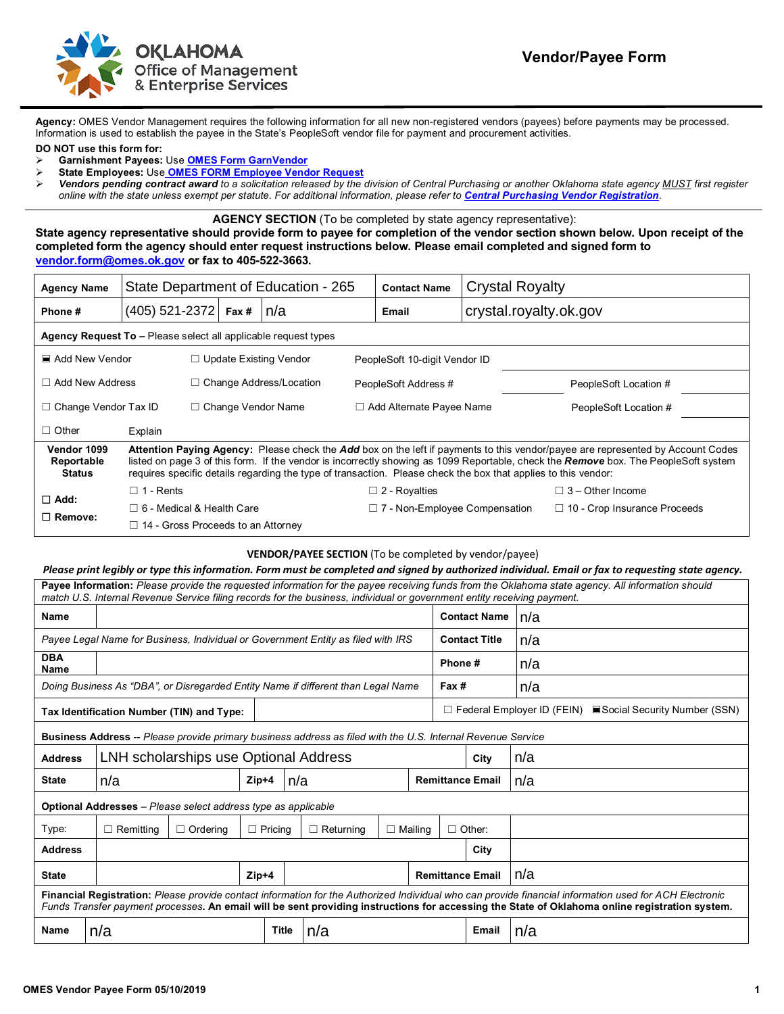

**Agency:** OMES Vendor Management requires the following information for all new non-registered vendors (payees) before payments may be processed. Information is used to establish the payee in the State's PeopleSoft vendor file for payment and procurement activities.

**DO NOT use this form for:**

- **Garnishment Payees:** Use **[OMES Form GarnVendor](https://oklahoma.gov/content/dam/ok/en/omes/documents/OMESFormGarnishmentVendor.pdf)**
- **State Employees:** Use **[OMES FORM Employee Vendor Request](https://oklahoma.gov/content/dam/ok/en/omes/documents/OMESEmployeeVendorRequestForm.pdf)**
- *Vendors pending contract award to a solicitation released by the division of Central Purchasing or another Oklahoma state agency MUST first register online with the state unless exempt per statute. For additional information, please refer to [Central Purchasing Vendor Registration](https://oklahoma.gov/omes/services/purchasing/vendor-registration.html)*.

**AGENCY SECTION** (To be completed by state agency representative):

**State agency representative should provide form to payee for completion of the vendor section shown below. Upon receipt of the completed form the agency should enter request instructions below. Please email completed and signed form to [vendor.form@omes.ok.gov](mailto:vendor.form@omes.ok.gov) or fax to 405-522-3663.**

| <b>Agency Name</b>                                             |                                                                                                                                                                                                                                                                                                                                                                                          |                                |  | State Department of Education - 265 |                            | <b>Contact Name</b>                  | <b>Crystal Royalty</b> |  |                                     |  |
|----------------------------------------------------------------|------------------------------------------------------------------------------------------------------------------------------------------------------------------------------------------------------------------------------------------------------------------------------------------------------------------------------------------------------------------------------------------|--------------------------------|--|-------------------------------------|----------------------------|--------------------------------------|------------------------|--|-------------------------------------|--|
| Phone #                                                        | $(405)$ 521-2372 Fax #                                                                                                                                                                                                                                                                                                                                                                   |                                |  | ∣n/a                                |                            | Email                                | crystal.royalty.ok.gov |  |                                     |  |
| Agency Request To - Please select all applicable request types |                                                                                                                                                                                                                                                                                                                                                                                          |                                |  |                                     |                            |                                      |                        |  |                                     |  |
| ■ Add New Vendor                                               |                                                                                                                                                                                                                                                                                                                                                                                          | $\Box$ Update Existing Vendor  |  | PeopleSoft 10-digit Vendor ID       |                            |                                      |                        |  |                                     |  |
| $\Box$ Add New Address                                         |                                                                                                                                                                                                                                                                                                                                                                                          | $\Box$ Change Address/Location |  | PeopleSoft Address #                |                            |                                      | PeopleSoft Location #  |  |                                     |  |
| $\Box$ Change Vendor Tax ID                                    |                                                                                                                                                                                                                                                                                                                                                                                          | $\Box$ Change Vendor Name      |  |                                     | □ Add Alternate Payee Name |                                      |                        |  | PeopleSoft Location #               |  |
| $\Box$ Other                                                   | Explain                                                                                                                                                                                                                                                                                                                                                                                  |                                |  |                                     |                            |                                      |                        |  |                                     |  |
| Vendor 1099<br>Reportable<br><b>Status</b>                     | Attention Paying Agency: Please check the Add box on the left if payments to this vendor/payee are represented by Account Codes<br>listed on page 3 of this form. If the vendor is incorrectly showing as 1099 Reportable, check the Remove box. The PeopleSoft system<br>requires specific details regarding the type of transaction. Please check the box that applies to this vendor: |                                |  |                                     |                            |                                      |                        |  |                                     |  |
| $\Box$ Add:<br>$\Box$ Remove:                                  | $\Box$ 1 - Rents                                                                                                                                                                                                                                                                                                                                                                         |                                |  |                                     |                            | $\Box$ 2 - Royalties                 |                        |  | $\Box$ 3 – Other Income             |  |
|                                                                | $\Box$ 6 - Medical & Health Care                                                                                                                                                                                                                                                                                                                                                         |                                |  |                                     |                            | $\Box$ 7 - Non-Employee Compensation |                        |  | $\Box$ 10 - Crop Insurance Proceeds |  |
|                                                                | $\Box$ 14 - Gross Proceeds to an Attornev                                                                                                                                                                                                                                                                                                                                                |                                |  |                                     |                            |                                      |                        |  |                                     |  |

## **VENDOR/PAYEE SECTION** (To be completed by vendor/payee)

*Please print legibly or type this information. Form must be completed and signed by authorized individual. Email or fax to requesting state agency.*

| Payee Information: Please provide the requested information for the payee receiving funds from the Oklahoma state agency. All information should<br>match U.S. Internal Revenue Service filing records for the business, individual or government entity receiving payment.                              |                  |                                       |                |                |                         |                      |  |                         |                                                                       |     |  |  |
|----------------------------------------------------------------------------------------------------------------------------------------------------------------------------------------------------------------------------------------------------------------------------------------------------------|------------------|---------------------------------------|----------------|----------------|-------------------------|----------------------|--|-------------------------|-----------------------------------------------------------------------|-----|--|--|
| Name                                                                                                                                                                                                                                                                                                     |                  |                                       |                |                |                         |                      |  | <b>Contact Name</b>     |                                                                       | n/a |  |  |
| Payee Legal Name for Business, Individual or Government Entity as filed with IRS                                                                                                                                                                                                                         |                  |                                       |                |                |                         | <b>Contact Title</b> |  | n/a                     |                                                                       |     |  |  |
| <b>DBA</b><br>Name                                                                                                                                                                                                                                                                                       |                  |                                       |                |                |                         |                      |  | Phone#                  |                                                                       | n/a |  |  |
| Doing Business As "DBA", or Disregarded Entity Name if different than Legal Name                                                                                                                                                                                                                         |                  |                                       |                |                |                         | Fax #                |  | n/a                     |                                                                       |     |  |  |
| Tax Identification Number (TIN) and Type:                                                                                                                                                                                                                                                                |                  |                                       |                |                |                         |                      |  |                         | $\Box$ Federal Employer ID (FEIN) $\Box$ Social Security Number (SSN) |     |  |  |
| <b>Business Address -- Please provide primary business address as filed with the U.S. Internal Revenue Service</b>                                                                                                                                                                                       |                  |                                       |                |                |                         |                      |  |                         |                                                                       |     |  |  |
| <b>Address</b>                                                                                                                                                                                                                                                                                           |                  | LNH scholarships use Optional Address |                |                |                         |                      |  |                         | City                                                                  | n/a |  |  |
| <b>State</b>                                                                                                                                                                                                                                                                                             | n/a              |                                       |                | $Zip+4$<br>n/a |                         |                      |  | <b>Remittance Email</b> |                                                                       | n/a |  |  |
| <b>Optional Addresses</b> – Please select address type as applicable                                                                                                                                                                                                                                     |                  |                                       |                |                |                         |                      |  |                         |                                                                       |     |  |  |
| Type:                                                                                                                                                                                                                                                                                                    | $\Box$ Remitting | $\Box$ Ordering                       | $\Box$ Pricing |                | $\Box$ Returning        | $\Box$ Mailing       |  |                         | $\Box$ Other:                                                         |     |  |  |
| <b>Address</b>                                                                                                                                                                                                                                                                                           |                  |                                       |                |                |                         |                      |  |                         | City                                                                  |     |  |  |
| <b>State</b>                                                                                                                                                                                                                                                                                             |                  | $Zip+4$                               |                |                | <b>Remittance Email</b> |                      |  |                         |                                                                       | n/a |  |  |
| Financial Registration: Please provide contact information for the Authorized Individual who can provide financial information used for ACH Electronic<br>Funds Transfer payment processes. An email will be sent providing instructions for accessing the State of Oklahoma online registration system. |                  |                                       |                |                |                         |                      |  |                         |                                                                       |     |  |  |
| <b>Name</b>                                                                                                                                                                                                                                                                                              | n/a              |                                       |                | <b>Title</b>   | n/a                     |                      |  |                         | <b>Email</b>                                                          | n/a |  |  |